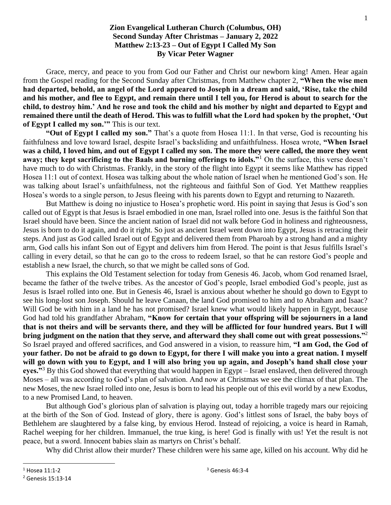## **Zion Evangelical Lutheran Church (Columbus, OH) Second Sunday After Christmas – January 2, 2022 Matthew 2:13-23 – Out of Egypt I Called My Son By Vicar Peter Wagner**

Grace, mercy, and peace to you from God our Father and Christ our newborn king! Amen. Hear again from the Gospel reading for the Second Sunday after Christmas, from Matthew chapter 2, **"When the wise men had departed, behold, an angel of the Lord appeared to Joseph in a dream and said, 'Rise, take the child and his mother, and flee to Egypt, and remain there until I tell you, for Herod is about to search for the child, to destroy him.' And he rose and took the child and his mother by night and departed to Egypt and remained there until the death of Herod. This was to fulfill what the Lord had spoken by the prophet, 'Out of Egypt I called my son.'"** This is our text.

**"Out of Egypt I called my son."** That's a quote from Hosea 11:1. In that verse, God is recounting his faithfulness and love toward Israel, despite Israel's backsliding and unfaithfulness. Hosea wrote, **"When Israel was a child, I loved him, and out of Egypt I called my son. The more they were called, the more they went away; they kept sacrificing to the Baals and burning offerings to idols."**<sup>1</sup> On the surface, this verse doesn't have much to do with Christmas. Frankly, in the story of the flight into Egypt it seems like Matthew has ripped Hosea 11:1 out of context. Hosea was talking about the whole nation of Israel when he mentioned God's son. He was talking about Israel's unfaithfulness, not the righteous and faithful Son of God. Yet Matthew reapplies Hosea's words to a single person, to Jesus fleeing with his parents down to Egypt and returning to Nazareth.

But Matthew is doing no injustice to Hosea's prophetic word. His point in saying that Jesus is God's son called out of Egypt is that Jesus is Israel embodied in one man, Israel rolled into one. Jesus is the faithful Son that Israel should have been. Since the ancient nation of Israel did not walk before God in holiness and righteousness, Jesus is born to do it again, and do it right. So just as ancient Israel went down into Egypt, Jesus is retracing their steps. And just as God called Israel out of Egypt and delivered them from Pharoah by a strong hand and a mighty arm, God calls his infant Son out of Egypt and delivers him from Herod. The point is that Jesus fulfills Israel's calling in every detail, so that he can go to the cross to redeem Israel, so that he can restore God's people and establish a new Israel, the church, so that we might be called sons of God.

This explains the Old Testament selection for today from Genesis 46. Jacob, whom God renamed Israel, became the father of the twelve tribes. As the ancestor of God's people, Israel embodied God's people, just as Jesus is Israel rolled into one. But in Genesis 46, Israel is anxious about whether he should go down to Egypt to see his long-lost son Joseph. Should he leave Canaan, the land God promised to him and to Abraham and Isaac? Will God be with him in a land he has not promised? Israel knew what would likely happen in Egypt, because God had told his grandfather Abraham, **"Know for certain that your offspring will be sojourners in a land that is not theirs and will be servants there, and they will be afflicted for four hundred years. But I will bring judgment on the nation that they serve, and afterward they shall come out with great possessions."**<sup>2</sup> So Israel prayed and offered sacrifices, and God answered in a vision, to reassure him, **"I am God, the God of your father. Do not be afraid to go down to Egypt, for there I will make you into a great nation. I myself will go down with you to Egypt, and I will also bring you up again, and Joseph's hand shall close your eyes."**<sup>3</sup> By this God showed that everything that would happen in Egypt – Israel enslaved, then delivered through Moses – all was according to God's plan of salvation. And now at Christmas we see the climax of that plan. The new Moses, the new Israel rolled into one, Jesus is born to lead his people out of this evil world by a new Exodus, to a new Promised Land, to heaven.

But although God's glorious plan of salvation is playing out, today a horrible tragedy mars our rejoicing at the birth of the Son of God. Instead of glory, there is agony. God's littlest sons of Israel, the baby boys of Bethlehem are slaughtered by a false king, by envious Herod. Instead of rejoicing, a voice is heard in Ramah, Rachel weeping for her children. Immanuel, the true king, is here! God is finally with us! Yet the result is not peace, but a sword. Innocent babies slain as martyrs on Christ's behalf.

Why did Christ allow their murder? These children were his same age, killed on his account. Why did he

<sup>1</sup> Hosea 11:1-2

<sup>2</sup> Genesis 15:13-14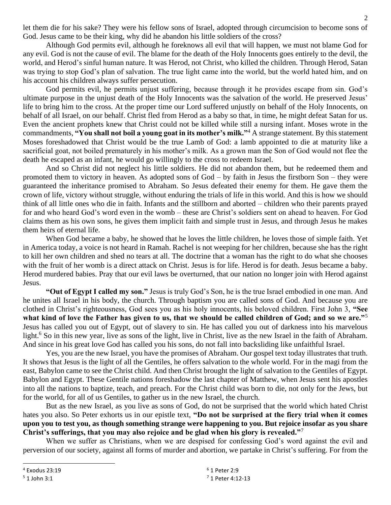let them die for his sake? They were his fellow sons of Israel, adopted through circumcision to become sons of God. Jesus came to be their king, why did he abandon his little soldiers of the cross?

Although God permits evil, although he foreknows all evil that will happen, we must not blame God for any evil. God is not the cause of evil. The blame for the death of the Holy Innocents goes entirely to the devil, the world, and Herod's sinful human nature. It was Herod, not Christ, who killed the children. Through Herod, Satan was trying to stop God's plan of salvation. The true light came into the world, but the world hated him, and on his account his children always suffer persecution.

God permits evil, he permits unjust suffering, because through it he provides escape from sin. God's ultimate purpose in the unjust death of the Holy Innocents was the salvation of the world. He preserved Jesus' life to bring him to the cross. At the proper time our Lord suffered unjustly on behalf of the Holy Innocents, on behalf of all Israel, on our behalf. Christ fled from Herod as a baby so that, in time, he might defeat Satan for us. Even the ancient prophets knew that Christ could not be killed while still a nursing infant. Moses wrote in the commandments, **"You shall not boil a young goat in its mother's milk."**<sup>4</sup> A strange statement. By this statement Moses foreshadowed that Christ would be the true Lamb of God: a lamb appointed to die at maturity like a sacrificial goat, not boiled prematurely in his mother's milk. As a grown man the Son of God would not flee the death he escaped as an infant, he would go willingly to the cross to redeem Israel.

And so Christ did not neglect his little soldiers. He did not abandon them, but he redeemed them and promoted them to victory in heaven. As adopted sons of God – by faith in Jesus the firstborn Son – they were guaranteed the inheritance promised to Abraham. So Jesus defeated their enemy for them. He gave them the crown of life, victory without struggle, without enduring the trials of life in this world. And this is how we should think of all little ones who die in faith. Infants and the stillborn and aborted – children who their parents prayed for and who heard God's word even in the womb – these are Christ's soldiers sent on ahead to heaven. For God claims them as his own sons, he gives them implicit faith and simple trust in Jesus, and through Jesus he makes them heirs of eternal life.

When God became a baby, he showed that he loves the little children, he loves those of simple faith. Yet in America today, a voice is not heard in Ramah. Rachel is not weeping for her children, because she has the right to kill her own children and shed no tears at all. The doctrine that a woman has the right to do what she chooses with the fruit of her womb is a direct attack on Christ. Jesus is for life. Herod is for death. Jesus became a baby. Herod murdered babies. Pray that our evil laws be overturned, that our nation no longer join with Herod against Jesus.

**"Out of Egypt I called my son."** Jesus is truly God's Son, he is the true Israel embodied in one man. And he unites all Israel in his body, the church. Through baptism you are called sons of God. And because you are clothed in Christ's righteousness, God sees you as his holy innocents, his beloved children. First John 3, **"See what kind of love the Father has given to us, that we should be called children of God; and so we are."**<sup>5</sup> Jesus has called you out of Egypt, out of slavery to sin. He has called you out of darkness into his marvelous light.<sup>6</sup> So in this new year, live as sons of the light, live in Christ, live as the new Israel in the faith of Abraham. And since in his great love God has called you his sons, do not fall into backsliding like unfaithful Israel.

Yes, you are the new Israel, you have the promises of Abraham. Our gospel text today illustrates that truth. It shows that Jesus is the light of all the Gentiles, he offers salvation to the whole world. For in the magi from the east, Babylon came to see the Christ child. And then Christ brought the light of salvation to the Gentiles of Egypt. Babylon and Egypt. These Gentile nations foreshadow the last chapter of Matthew, when Jesus sent his apostles into all the nations to baptize, teach, and preach. For the Christ child was born to die, not only for the Jews, but for the world, for all of us Gentiles, to gather us in the new Israel, the church.

But as the new Israel, as you live as sons of God, do not be surprised that the world which hated Christ hates you also. So Peter exhorts us in our epistle text, **"Do not be surprised at the fiery trial when it comes upon you to test you, as though something strange were happening to you. But rejoice insofar as you share Christ's sufferings, that you may also rejoice and be glad when his glory is revealed."**<sup>7</sup>

When we suffer as Christians, when we are despised for confessing God's word against the evil and perversion of our society, against all forms of murder and abortion, we partake in Christ's suffering. For from the

<sup>4</sup> Exodus 23:19

 $5$  1 John 3:1